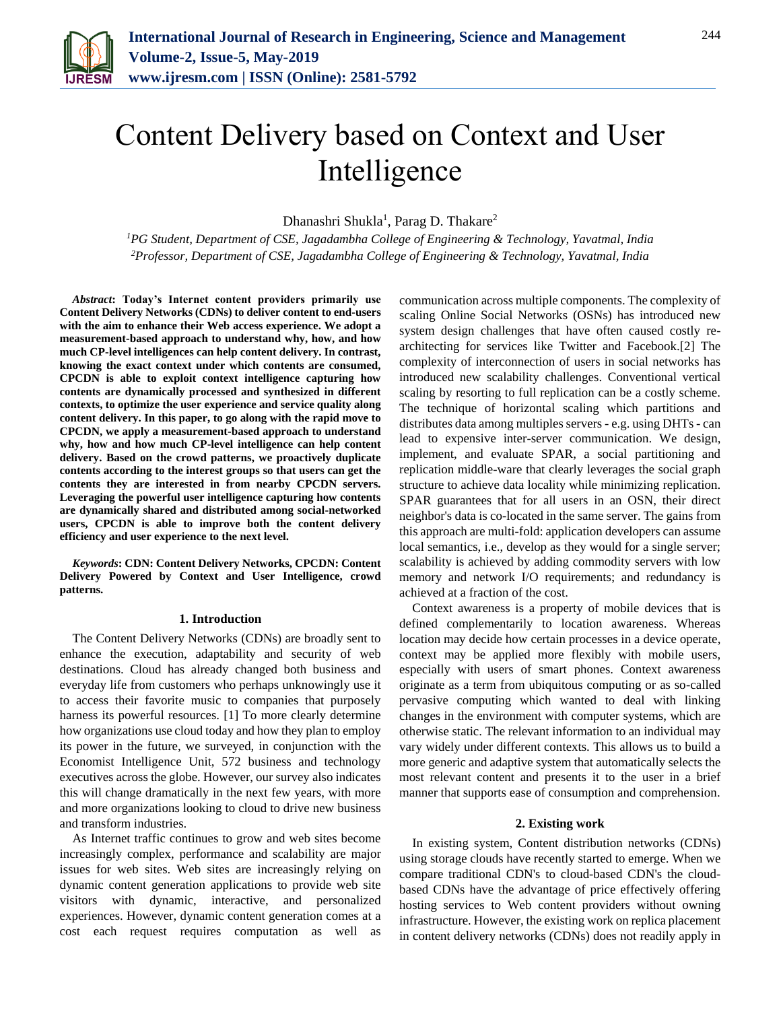

# Content Delivery based on Context and User Intelligence

Dhanashri Shukla<sup>1</sup>, Parag D. Thakare<sup>2</sup>

*<sup>1</sup>PG Student, Department of CSE, Jagadambha College of Engineering & Technology, Yavatmal, India 2Professor, Department of CSE, Jagadambha College of Engineering & Technology, Yavatmal, India*

*Abstract***: Today's Internet content providers primarily use Content Delivery Networks (CDNs) to deliver content to end-users with the aim to enhance their Web access experience. We adopt a measurement-based approach to understand why, how, and how much CP-level intelligences can help content delivery. In contrast, knowing the exact context under which contents are consumed, CPCDN is able to exploit context intelligence capturing how contents are dynamically processed and synthesized in different contexts, to optimize the user experience and service quality along content delivery. In this paper, to go along with the rapid move to CPCDN, we apply a measurement-based approach to understand why, how and how much CP-level intelligence can help content delivery. Based on the crowd patterns, we proactively duplicate contents according to the interest groups so that users can get the contents they are interested in from nearby CPCDN servers. Leveraging the powerful user intelligence capturing how contents are dynamically shared and distributed among social-networked users, CPCDN is able to improve both the content delivery efficiency and user experience to the next level.**

*Keywords***: CDN: Content Delivery Networks, CPCDN: Content Delivery Powered by Context and User Intelligence, crowd patterns.**

## **1. Introduction**

The Content Delivery Networks (CDNs) are broadly sent to enhance the execution, adaptability and security of web destinations. Cloud has already changed both business and everyday life from customers who perhaps unknowingly use it to access their favorite music to companies that purposely harness its powerful resources. [1] To more clearly determine how organizations use cloud today and how they plan to employ its power in the future, we surveyed, in conjunction with the Economist Intelligence Unit, 572 business and technology executives across the globe. However, our survey also indicates this will change dramatically in the next few years, with more and more organizations looking to cloud to drive new business and transform industries.

As Internet traffic continues to grow and web sites become increasingly complex, performance and scalability are major issues for web sites. Web sites are increasingly relying on dynamic content generation applications to provide web site visitors with dynamic, interactive, and personalized experiences. However, dynamic content generation comes at a cost each request requires computation as well as

communication across multiple components. The complexity of scaling Online Social Networks (OSNs) has introduced new system design challenges that have often caused costly rearchitecting for services like Twitter and Facebook.[2] The complexity of interconnection of users in social networks has introduced new scalability challenges. Conventional vertical scaling by resorting to full replication can be a costly scheme. The technique of horizontal scaling which partitions and distributes data among multiples servers - e.g. using DHTs - can lead to expensive inter-server communication. We design, implement, and evaluate SPAR, a social partitioning and replication middle-ware that clearly leverages the social graph structure to achieve data locality while minimizing replication. SPAR guarantees that for all users in an OSN, their direct neighbor's data is co-located in the same server. The gains from this approach are multi-fold: application developers can assume local semantics, i.e., develop as they would for a single server; scalability is achieved by adding commodity servers with low memory and network I/O requirements; and redundancy is achieved at a fraction of the cost.

Context awareness is a property of mobile devices that is defined complementarily to location awareness. Whereas location may decide how certain processes in a device operate, context may be applied more flexibly with mobile users, especially with users of smart phones. Context awareness originate as a term from ubiquitous computing or as so-called pervasive computing which wanted to deal with linking changes in the environment with computer systems, which are otherwise static. The relevant information to an individual may vary widely under different contexts. This allows us to build a more generic and adaptive system that automatically selects the most relevant content and presents it to the user in a brief manner that supports ease of consumption and comprehension.

### **2. Existing work**

In existing system, Content distribution networks (CDNs) using storage clouds have recently started to emerge. When we compare traditional CDN's to cloud-based CDN's the cloudbased CDNs have the advantage of price effectively offering hosting services to Web content providers without owning infrastructure. However, the existing work on replica placement in content delivery networks (CDNs) does not readily apply in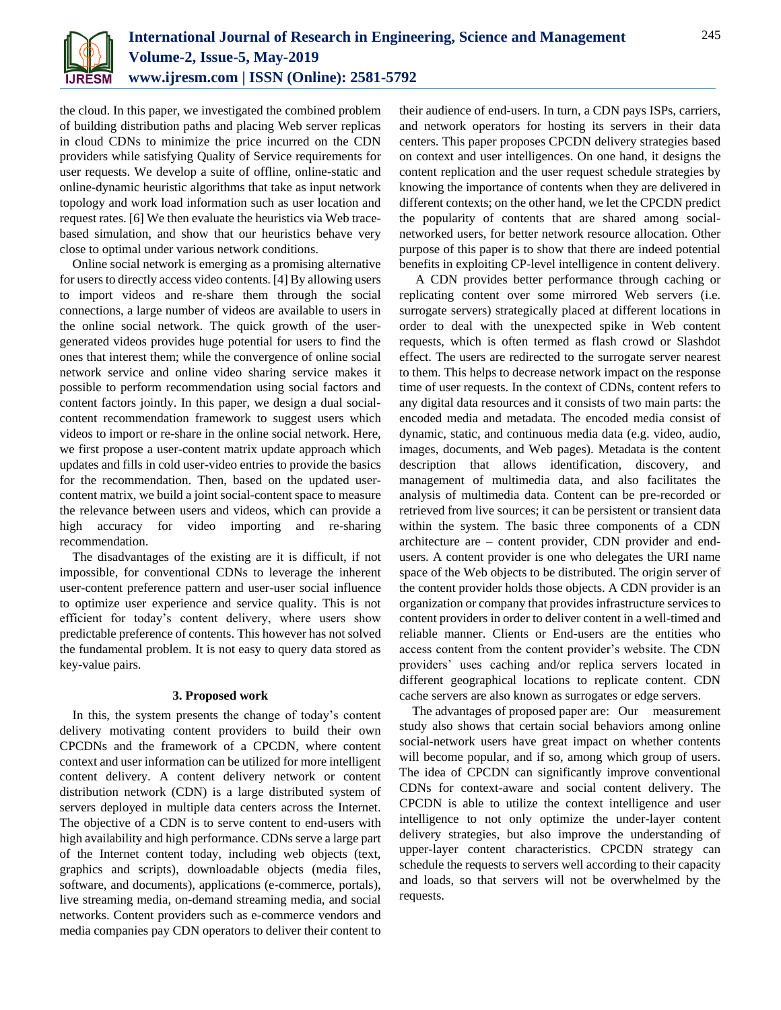

the cloud. In this paper, we investigated the combined problem of building distribution paths and placing Web server replicas in cloud CDNs to minimize the price incurred on the CDN providers while satisfying Quality of Service requirements for user requests. We develop a suite of offline, online-static and online-dynamic heuristic algorithms that take as input network topology and work load information such as user location and request rates. [6] We then evaluate the heuristics via Web tracebased simulation, and show that our heuristics behave very close to optimal under various network conditions.

Online social network is emerging as a promising alternative for users to directly access video contents. [4] By allowing users to import videos and re-share them through the social connections, a large number of videos are available to users in the online social network. The quick growth of the usergenerated videos provides huge potential for users to find the ones that interest them; while the convergence of online social network service and online video sharing service makes it possible to perform recommendation using social factors and content factors jointly. In this paper, we design a dual socialcontent recommendation framework to suggest users which videos to import or re-share in the online social network. Here, we first propose a user-content matrix update approach which updates and fills in cold user-video entries to provide the basics for the recommendation. Then, based on the updated usercontent matrix, we build a joint social-content space to measure the relevance between users and videos, which can provide a high accuracy for video importing and re-sharing recommendation.

The disadvantages of the existing are it is difficult, if not impossible, for conventional CDNs to leverage the inherent user-content preference pattern and user-user social influence to optimize user experience and service quality. This is not efficient for today's content delivery, where users show predictable preference of contents. This however has not solved the fundamental problem. It is not easy to query data stored as key-value pairs.

## **3. Proposed work**

In this, the system presents the change of today's content delivery motivating content providers to build their own CPCDNs and the framework of a CPCDN, where content context and user information can be utilized for more intelligent content delivery. A content delivery network or content distribution network (CDN) is a large distributed system of servers deployed in multiple data centers across the Internet. The objective of a CDN is to serve content to end-users with high availability and high performance. CDNs serve a large part of the Internet content today, including web objects (text, graphics and scripts), downloadable objects (media files, software, and documents), applications (e-commerce, portals), live streaming media, on-demand streaming media, and social networks. Content providers such as e-commerce vendors and media companies pay CDN operators to deliver their content to

their audience of end-users. In turn, a CDN pays ISPs, carriers, and network operators for hosting its servers in their data centers. This paper proposes CPCDN delivery strategies based on context and user intelligences. On one hand, it designs the content replication and the user request schedule strategies by knowing the importance of contents when they are delivered in different contexts; on the other hand, we let the CPCDN predict the popularity of contents that are shared among socialnetworked users, for better network resource allocation. Other purpose of this paper is to show that there are indeed potential benefits in exploiting CP-level intelligence in content delivery.

A CDN provides better performance through caching or replicating content over some mirrored Web servers (i.e. surrogate servers) strategically placed at different locations in order to deal with the unexpected spike in Web content requests, which is often termed as flash crowd or Slashdot effect. The users are redirected to the surrogate server nearest to them. This helps to decrease network impact on the response time of user requests. In the context of CDNs, content refers to any digital data resources and it consists of two main parts: the encoded media and metadata. The encoded media consist of dynamic, static, and continuous media data (e.g. video, audio, images, documents, and Web pages). Metadata is the content description that allows identification, discovery, and management of multimedia data, and also facilitates the analysis of multimedia data. Content can be pre-recorded or retrieved from live sources; it can be persistent or transient data within the system. The basic three components of a CDN architecture are – content provider, CDN provider and endusers. A content provider is one who delegates the URI name space of the Web objects to be distributed. The origin server of the content provider holds those objects. A CDN provider is an organization or company that provides infrastructure services to content providers in order to deliver content in a well-timed and reliable manner. Clients or End-users are the entities who access content from the content provider's website. The CDN providers' uses caching and/or replica servers located in different geographical locations to replicate content. CDN cache servers are also known as surrogates or edge servers.

The advantages of proposed paper are: Our measurement study also shows that certain social behaviors among online social-network users have great impact on whether contents will become popular, and if so, among which group of users. The idea of CPCDN can significantly improve conventional CDNs for context-aware and social content delivery. The CPCDN is able to utilize the context intelligence and user intelligence to not only optimize the under-layer content delivery strategies, but also improve the understanding of upper-layer content characteristics. CPCDN strategy can schedule the requests to servers well according to their capacity and loads, so that servers will not be overwhelmed by the requests.